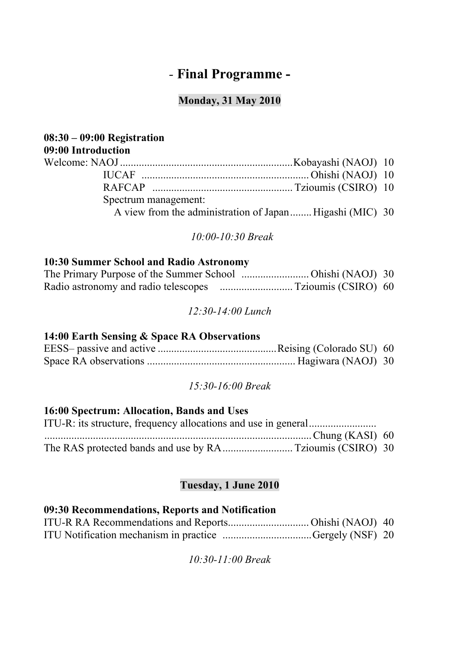# *-* **Final Programme -**

## **Monday, 31 May 2010**

| $08:30 - 09:00$ Registration                             |  |
|----------------------------------------------------------|--|
| 09:00 Introduction                                       |  |
|                                                          |  |
|                                                          |  |
|                                                          |  |
| Spectrum management:                                     |  |
| A view from the administration of Japan Higashi (MIC) 30 |  |
|                                                          |  |

 *10:00-10:30 Break*

## **10:30 Summer School and Radio Astronomy**

*12:30-14:00 Lunch*

#### **14:00 Earth Sensing & Space RA Observations**

*15:30-16:00 Break*

| <b>16:00 Spectrum: Allocation, Bands and Uses</b> |  |
|---------------------------------------------------|--|
|                                                   |  |
|                                                   |  |
|                                                   |  |

## **Tuesday, 1 June 2010**

## **09:30 Recommendations, Reports and Notification**

*10:30-11:00 Break*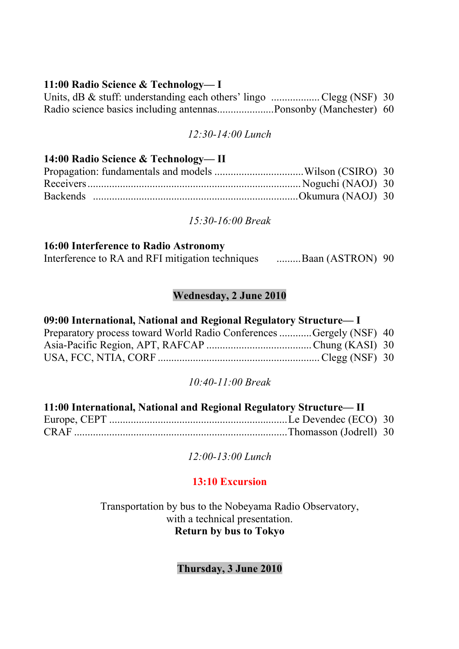### **11:00 Radio Science & Technology— I**

| Units, dB & stuff: understanding each others' lingo Clegg (NSF) 30 |  |
|--------------------------------------------------------------------|--|
| Radio science basics including antennasPonsonby (Manchester) 60    |  |

## *12:30-14:00 Lunch*

### **14:00 Radio Science & Technology— II** Propagation: fundamentals and models .................................Wilson (CSIRO) 30 Receivers...............................................................................Noguchi (NAOJ) 30 Backends ............................................................................Okumura (NAOJ) 30

## *15:30-16:00 Break*

### **16:00 Interference to Radio Astronomy**

| Interference to RA and RFI mitigation techniques | Baan (ASTRON) 90 |  |
|--------------------------------------------------|------------------|--|

## **Wednesday, 2 June 2010**

## **09:00 International, National and Regional Regulatory Structure— I**

| Preparatory process toward World Radio Conferences Gergely (NSF) 40 |  |
|---------------------------------------------------------------------|--|
|                                                                     |  |
|                                                                     |  |

## *10:40-11:00 Break*

| 11:00 International, National and Regional Regulatory Structure—II |  |
|--------------------------------------------------------------------|--|
|                                                                    |  |
|                                                                    |  |

*12:00-13:00 Lunch*

## **13:10 Excursion**

Transportation by bus to the Nobeyama Radio Observatory, with a technical presentation. **Return by bus to Tokyo**

**Thursday, 3 June 2010**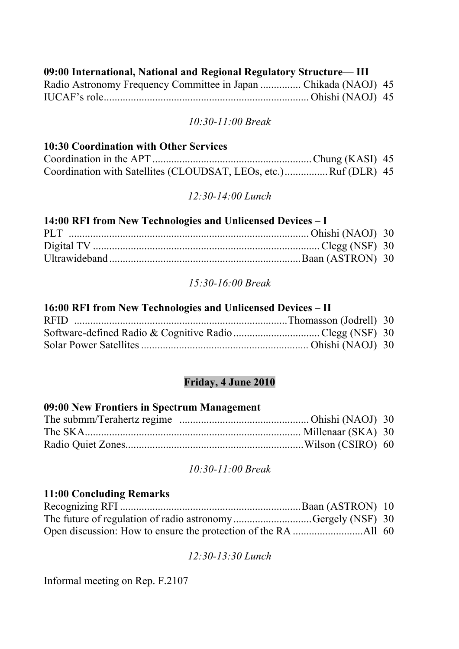## **09:00 International, National and Regional Regulatory Structure— III**

| Radio Astronomy Frequency Committee in Japan  Chikada (NAOJ) 45 |  |
|-----------------------------------------------------------------|--|
|                                                                 |  |

### *10:30-11:00 Break*

#### **10:30 Coordination with Other Services**

| Coordination with Satellites (CLOUDSAT, LEOs, etc.)Ruf (DLR) 45 |  |
|-----------------------------------------------------------------|--|

#### *12:30-14:00 Lunch*

| 14:00 RFI from New Technologies and Unlicensed Devices – I |  |  |
|------------------------------------------------------------|--|--|
|                                                            |  |  |
|                                                            |  |  |
|                                                            |  |  |

#### *15:30-16:00 Break*

### **16:00 RFI from New Technologies and Unlicensed Devices – II** RFID ...............................................................................Thomasson (Jodrell) 30 Software-defined Radio & Cognitive Radio................................Clegg (NSF) 30 Solar Power Satellites *..............................................................* Ohishi (NAOJ) 30

## **Friday, 4 June 2010**

#### **09:00 New Frontiers in Spectrum Management**

### *10:30-11:00 Break*

## **11:00 Concluding Remarks**

| The future of regulation of radio astronomyGergely (NSF) 30 |  |
|-------------------------------------------------------------|--|
|                                                             |  |

### *12:30-13:30 Lunch*

Informal meeting on Rep. F.2107